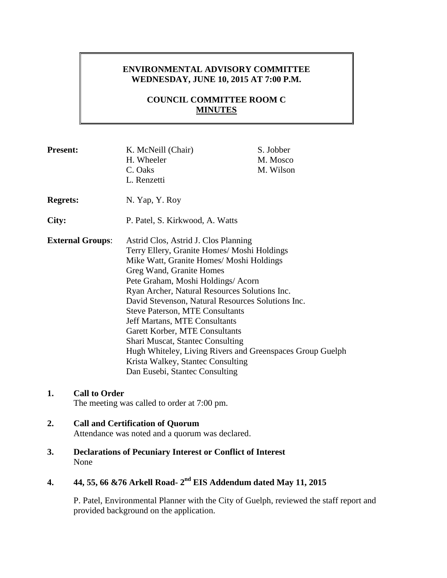# **ENVIRONMENTAL ADVISORY COMMITTEE WEDNESDAY, JUNE 10, 2015 AT 7:00 P.M.**

# **COUNCIL COMMITTEE ROOM C MINUTES**

| <b>Present:</b>         | K. McNeill (Chair)<br>H. Wheeler<br>C. Oaks<br>L. Renzetti                                                                                                                                                                                                                                                                                                                                                                                                                                                                                                                                                 | S. Jobber<br>M. Mosco<br>M. Wilson |
|-------------------------|------------------------------------------------------------------------------------------------------------------------------------------------------------------------------------------------------------------------------------------------------------------------------------------------------------------------------------------------------------------------------------------------------------------------------------------------------------------------------------------------------------------------------------------------------------------------------------------------------------|------------------------------------|
| <b>Regrets:</b>         | N. Yap, Y. Roy                                                                                                                                                                                                                                                                                                                                                                                                                                                                                                                                                                                             |                                    |
| City:                   | P. Patel, S. Kirkwood, A. Watts                                                                                                                                                                                                                                                                                                                                                                                                                                                                                                                                                                            |                                    |
| <b>External Groups:</b> | Astrid Clos, Astrid J. Clos Planning<br>Terry Ellery, Granite Homes/ Moshi Holdings<br>Mike Watt, Granite Homes/ Moshi Holdings<br>Greg Wand, Granite Homes<br>Pete Graham, Moshi Holdings/ Acorn<br>Ryan Archer, Natural Resources Solutions Inc.<br>David Stevenson, Natural Resources Solutions Inc.<br><b>Steve Paterson, MTE Consultants</b><br><b>Jeff Martans, MTE Consultants</b><br>Garett Korber, MTE Consultants<br><b>Shari Muscat, Stantec Consulting</b><br>Hugh Whiteley, Living Rivers and Greenspaces Group Guelph<br>Krista Walkey, Stantec Consulting<br>Dan Eusebi, Stantec Consulting |                                    |

## **1. Call to Order**

The meeting was called to order at 7:00 pm.

# **2. Call and Certification of Quorum**

Attendance was noted and a quorum was declared.

**3. Declarations of Pecuniary Interest or Conflict of Interest** None

# **4. 44, 55, 66 &76 Arkell Road- 2 nd EIS Addendum dated May 11, 2015**

P. Patel, Environmental Planner with the City of Guelph, reviewed the staff report and provided background on the application.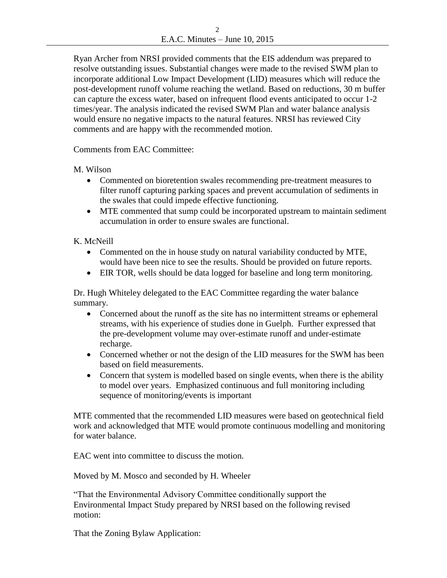$\mathfrak{D}$ E.A.C. Minutes – June 10, 2015

Ryan Archer from NRSI provided comments that the EIS addendum was prepared to resolve outstanding issues. Substantial changes were made to the revised SWM plan to incorporate additional Low Impact Development (LID) measures which will reduce the post-development runoff volume reaching the wetland. Based on reductions, 30 m buffer can capture the excess water, based on infrequent flood events anticipated to occur 1-2 times/year. The analysis indicated the revised SWM Plan and water balance analysis would ensure no negative impacts to the natural features. NRSI has reviewed City comments and are happy with the recommended motion.

Comments from EAC Committee:

M. Wilson

- Commented on bioretention swales recommending pre-treatment measures to filter runoff capturing parking spaces and prevent accumulation of sediments in the swales that could impede effective functioning.
- MTE commented that sump could be incorporated upstream to maintain sediment accumulation in order to ensure swales are functional.

# K. McNeill

- Commented on the in house study on natural variability conducted by MTE, would have been nice to see the results. Should be provided on future reports.
- EIR TOR, wells should be data logged for baseline and long term monitoring.

Dr. Hugh Whiteley delegated to the EAC Committee regarding the water balance summary.

- Concerned about the runoff as the site has no intermittent streams or ephemeral streams, with his experience of studies done in Guelph. Further expressed that the pre-development volume may over-estimate runoff and under-estimate recharge.
- Concerned whether or not the design of the LID measures for the SWM has been based on field measurements.
- Concern that system is modelled based on single events, when there is the ability to model over years. Emphasized continuous and full monitoring including sequence of monitoring/events is important

MTE commented that the recommended LID measures were based on geotechnical field work and acknowledged that MTE would promote continuous modelling and monitoring for water balance.

EAC went into committee to discuss the motion.

Moved by M. Mosco and seconded by H. Wheeler

"That the Environmental Advisory Committee conditionally support the Environmental Impact Study prepared by NRSI based on the following revised motion:

That the Zoning Bylaw Application: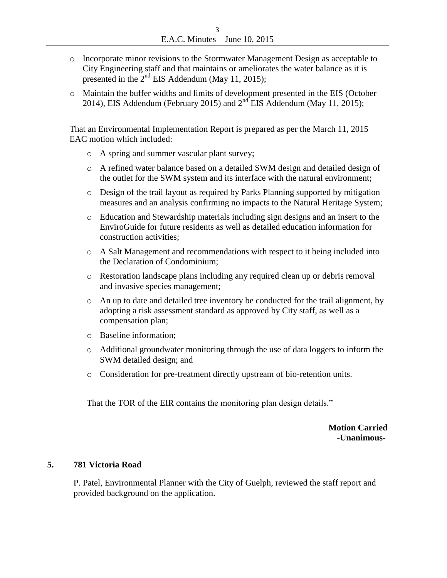- o Incorporate minor revisions to the Stormwater Management Design as acceptable to City Engineering staff and that maintains or ameliorates the water balance as it is presented in the  $2<sup>nd</sup>$  EIS Addendum (May 11, 2015);
- o Maintain the buffer widths and limits of development presented in the EIS (October 2014), EIS Addendum (February 2015) and  $2<sup>nd</sup>$  EIS Addendum (May 11, 2015);

That an Environmental Implementation Report is prepared as per the March 11, 2015 EAC motion which included:

- o A spring and summer vascular plant survey;
- o A refined water balance based on a detailed SWM design and detailed design of the outlet for the SWM system and its interface with the natural environment;
- o Design of the trail layout as required by Parks Planning supported by mitigation measures and an analysis confirming no impacts to the Natural Heritage System;
- o Education and Stewardship materials including sign designs and an insert to the EnviroGuide for future residents as well as detailed education information for construction activities;
- o A Salt Management and recommendations with respect to it being included into the Declaration of Condominium;
- o Restoration landscape plans including any required clean up or debris removal and invasive species management;
- o An up to date and detailed tree inventory be conducted for the trail alignment, by adopting a risk assessment standard as approved by City staff, as well as a compensation plan;
- o Baseline information;
- o Additional groundwater monitoring through the use of data loggers to inform the SWM detailed design; and
- o Consideration for pre-treatment directly upstream of bio-retention units.

That the TOR of the EIR contains the monitoring plan design details."

 **Motion Carried -Unanimous-**

## **5. 781 Victoria Road**

P. Patel, Environmental Planner with the City of Guelph, reviewed the staff report and provided background on the application.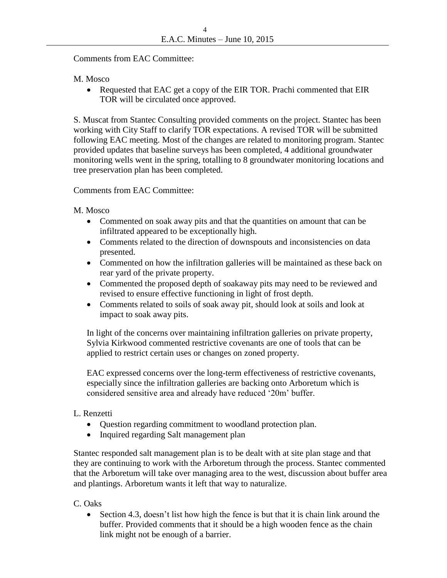Comments from EAC Committee:

M. Mosco

• Requested that EAC get a copy of the EIR TOR. Prachi commented that EIR TOR will be circulated once approved.

S. Muscat from Stantec Consulting provided comments on the project. Stantec has been working with City Staff to clarify TOR expectations. A revised TOR will be submitted following EAC meeting. Most of the changes are related to monitoring program. Stantec provided updates that baseline surveys has been completed, 4 additional groundwater monitoring wells went in the spring, totalling to 8 groundwater monitoring locations and tree preservation plan has been completed.

Comments from EAC Committee:

M. Mosco

- Commented on soak away pits and that the quantities on amount that can be infiltrated appeared to be exceptionally high.
- Comments related to the direction of downspouts and inconsistencies on data presented.
- Commented on how the infiltration galleries will be maintained as these back on rear yard of the private property.
- Commented the proposed depth of soakaway pits may need to be reviewed and revised to ensure effective functioning in light of frost depth.
- Comments related to soils of soak away pit, should look at soils and look at impact to soak away pits.

In light of the concerns over maintaining infiltration galleries on private property, Sylvia Kirkwood commented restrictive covenants are one of tools that can be applied to restrict certain uses or changes on zoned property.

EAC expressed concerns over the long-term effectiveness of restrictive covenants, especially since the infiltration galleries are backing onto Arboretum which is considered sensitive area and already have reduced '20m' buffer.

# L. Renzetti

- Question regarding commitment to woodland protection plan.
- Inquired regarding Salt management plan

Stantec responded salt management plan is to be dealt with at site plan stage and that they are continuing to work with the Arboretum through the process. Stantec commented that the Arboretum will take over managing area to the west, discussion about buffer area and plantings. Arboretum wants it left that way to naturalize.

C. Oaks

 Section 4.3, doesn't list how high the fence is but that it is chain link around the buffer. Provided comments that it should be a high wooden fence as the chain link might not be enough of a barrier.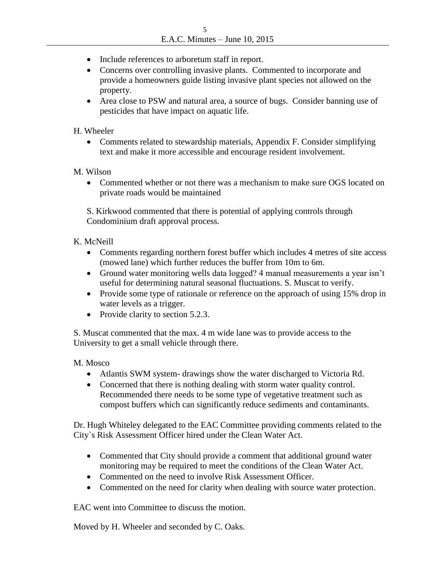- Include references to arboretum staff in report.
- Concerns over controlling invasive plants. Commented to incorporate and provide a homeowners guide listing invasive plant species not allowed on the property.
- Area close to PSW and natural area, a source of bugs. Consider banning use of pesticides that have impact on aquatic life.

## H. Wheeler

• Comments related to stewardship materials, Appendix F. Consider simplifying text and make it more accessible and encourage resident involvement.

## M. Wilson

• Commented whether or not there was a mechanism to make sure OGS located on private roads would be maintained

S. Kirkwood commented that there is potential of applying controls through Condominium draft approval process.

# K. McNeill

- Comments regarding northern forest buffer which includes 4 metres of site access (mowed lane) which further reduces the buffer from 10m to 6m.
- Ground water monitoring wells data logged? 4 manual measurements a year isn't useful for determining natural seasonal fluctuations. S. Muscat to verify.
- Provide some type of rationale or reference on the approach of using 15% drop in water levels as a trigger.
- Provide clarity to section 5.2.3.

S. Muscat commented that the max. 4 m wide lane was to provide access to the University to get a small vehicle through there.

## M. Mosco

- Atlantis SWM system- drawings show the water discharged to Victoria Rd.
- Concerned that there is nothing dealing with storm water quality control. Recommended there needs to be some type of vegetative treatment such as compost buffers which can significantly reduce sediments and contaminants.

Dr. Hugh Whiteley delegated to the EAC Committee providing comments related to the City`s Risk Assessment Officer hired under the Clean Water Act.

- Commented that City should provide a comment that additional ground water monitoring may be required to meet the conditions of the Clean Water Act.
- Commented on the need to involve Risk Assessment Officer.
- Commented on the need for clarity when dealing with source water protection.

EAC went into Committee to discuss the motion.

Moved by H. Wheeler and seconded by C. Oaks.